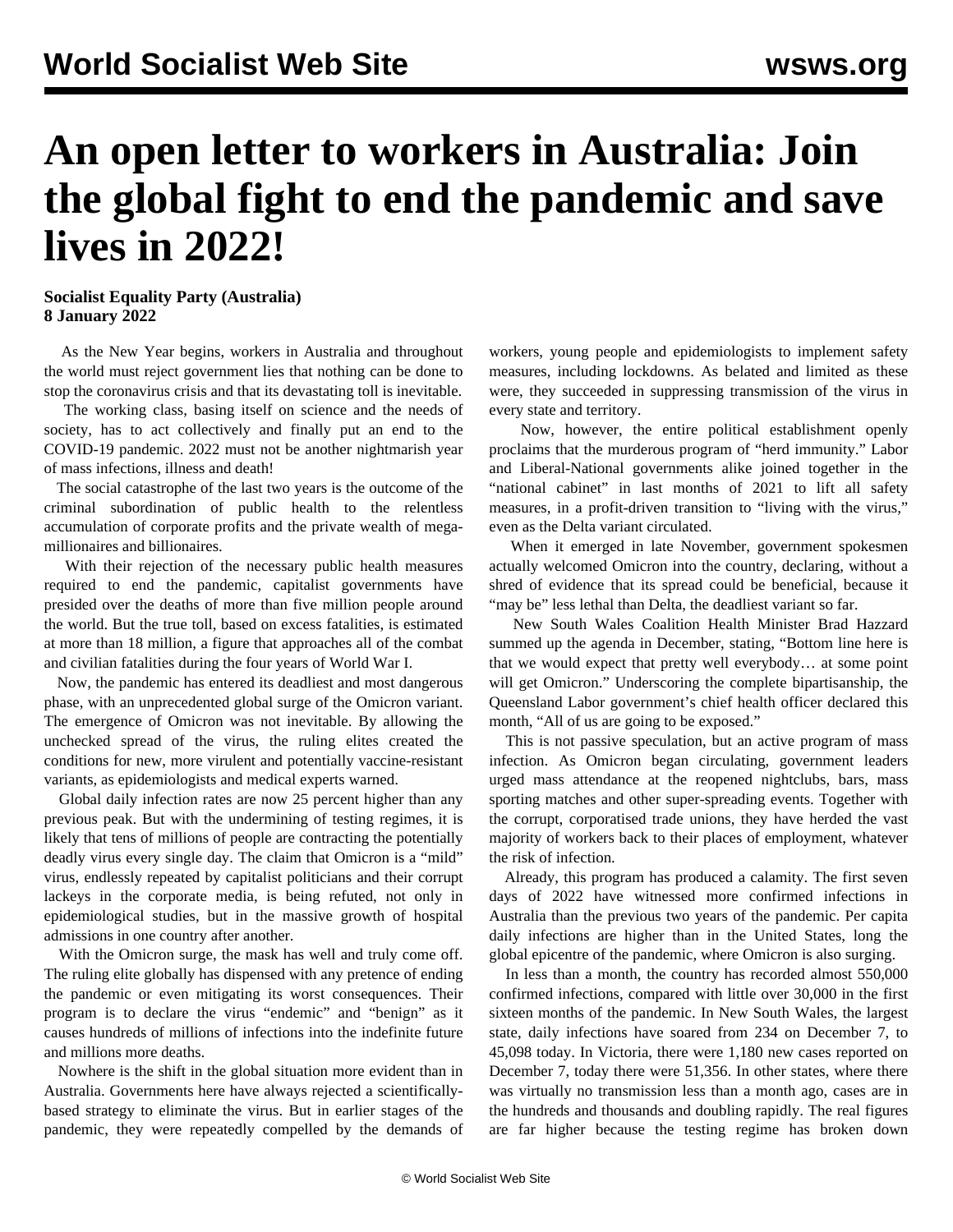## **An open letter to workers in Australia: Join the global fight to end the pandemic and save lives in 2022!**

## **Socialist Equality Party (Australia) 8 January 2022**

 As the New Year begins, workers in Australia and throughout the world must reject government lies that nothing can be done to stop the coronavirus crisis and that its devastating toll is inevitable.

 The working class, basing itself on science and the needs of society, has to act collectively and finally put an end to the COVID-19 pandemic. 2022 must not be another nightmarish year of mass infections, illness and death!

 The social catastrophe of the last two years is the outcome of the criminal subordination of public health to the relentless accumulation of corporate profits and the private wealth of megamillionaires and billionaires.

 With their rejection of the necessary public health measures required to end the pandemic, capitalist governments have presided over the deaths of more than five million people around the world. But the true toll, based on excess fatalities, is estimated at more than 18 million, a figure that approaches all of the combat and civilian fatalities during the four years of World War I.

 Now, the pandemic has entered its deadliest and most dangerous phase, with an unprecedented global surge of the Omicron variant. The emergence of Omicron was not inevitable. By allowing the unchecked spread of the virus, the ruling elites created the conditions for new, more virulent and potentially vaccine-resistant variants, as epidemiologists and medical experts warned.

 Global daily infection rates are now 25 percent higher than any previous peak. But with the undermining of testing regimes, it is likely that tens of millions of people are contracting the potentially deadly virus every single day. The claim that Omicron is a "mild" virus, endlessly repeated by capitalist politicians and their corrupt lackeys in the corporate media, is being refuted, not only in epidemiological studies, but in the massive growth of hospital admissions in one country after another.

 With the Omicron surge, the mask has well and truly come off. The ruling elite globally has dispensed with any pretence of ending the pandemic or even mitigating its worst consequences. Their program is to declare the virus "endemic" and "benign" as it causes hundreds of millions of infections into the indefinite future and millions more deaths.

 Nowhere is the shift in the global situation more evident than in Australia. Governments here have always rejected a scientificallybased strategy to eliminate the virus. But in earlier stages of the pandemic, they were repeatedly compelled by the demands of workers, young people and epidemiologists to implement safety measures, including lockdowns. As belated and limited as these were, they succeeded in suppressing transmission of the virus in every state and territory.

 Now, however, the entire political establishment openly proclaims that the murderous program of "herd immunity." Labor and Liberal-National governments alike joined together in the "national cabinet" in last months of 2021 to lift all safety measures, in a profit-driven transition to "living with the virus," even as the Delta variant circulated.

 When it emerged in late November, government spokesmen actually welcomed Omicron into the country, declaring, without a shred of evidence that its spread could be beneficial, because it "may be" less lethal than Delta, the deadliest variant so far.

 New South Wales Coalition Health Minister Brad Hazzard summed up the agenda in December, stating, "Bottom line here is that we would expect that pretty well everybody… at some point will get Omicron." Underscoring the complete bipartisanship, the Queensland Labor government's chief health officer declared this month, "All of us are going to be exposed."

 This is not passive speculation, but an active program of mass infection. As Omicron began circulating, government leaders urged mass attendance at the reopened nightclubs, bars, mass sporting matches and other super-spreading events. Together with the corrupt, corporatised trade unions, they have herded the vast majority of workers back to their places of employment, whatever the risk of infection.

 Already, this program has produced a calamity. The first seven days of 2022 have witnessed more confirmed infections in Australia than the previous two years of the pandemic. Per capita daily infections are higher than in the United States, long the global epicentre of the pandemic, where Omicron is also surging.

 In less than a month, the country has recorded almost 550,000 confirmed infections, compared with little over 30,000 in the first sixteen months of the pandemic. In New South Wales, the largest state, daily infections have soared from 234 on December 7, to 45,098 today. In Victoria, there were 1,180 new cases reported on December 7, today there were 51,356. In other states, where there was virtually no transmission less than a month ago, cases are in the hundreds and thousands and doubling rapidly. The real figures are far higher because the testing regime has broken down